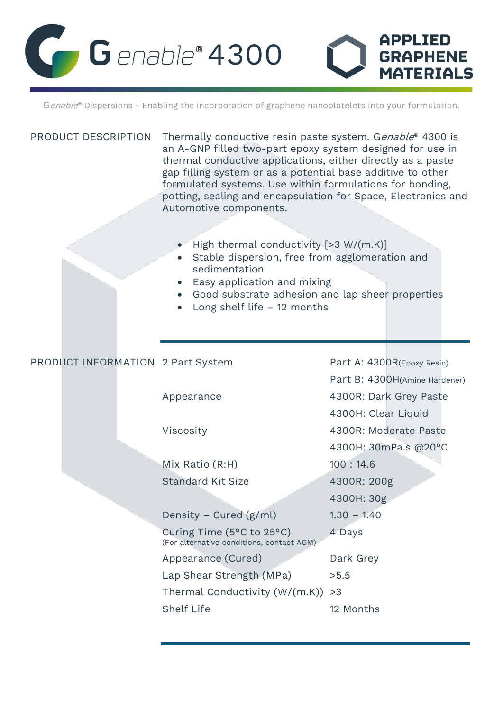

Genable® Dispersions - Enabling the incorporation of graphene nanoplatelets into your formulation.

| PRODUCT DESCRIPTION               | Thermally conductive resin paste system. Genable® 4300 is<br>an A-GNP filled two-part epoxy system designed for use in<br>thermal conductive applications, either directly as a paste<br>gap filling system or as a potential base additive to other<br>formulated systems. Use within formulations for bonding,<br>potting, sealing and encapsulation for Space, Electronics and<br>Automotive components.<br>High thermal conductivity $[>3 W/(m.K)]$<br>Stable dispersion, free from agglomeration and<br>sedimentation<br>Easy application and mixing<br>• Good substrate adhesion and lap sheer properties<br>Long shelf life $-12$ months |                               |
|-----------------------------------|-------------------------------------------------------------------------------------------------------------------------------------------------------------------------------------------------------------------------------------------------------------------------------------------------------------------------------------------------------------------------------------------------------------------------------------------------------------------------------------------------------------------------------------------------------------------------------------------------------------------------------------------------|-------------------------------|
| PRODUCT INFORMATION 2 Part System |                                                                                                                                                                                                                                                                                                                                                                                                                                                                                                                                                                                                                                                 | Part A: 4300R(Epoxy Resin)    |
|                                   |                                                                                                                                                                                                                                                                                                                                                                                                                                                                                                                                                                                                                                                 | Part B: 4300H(Amine Hardener) |
|                                   | Appearance                                                                                                                                                                                                                                                                                                                                                                                                                                                                                                                                                                                                                                      | 4300R: Dark Grey Paste        |
|                                   |                                                                                                                                                                                                                                                                                                                                                                                                                                                                                                                                                                                                                                                 | 4300H: Clear Liquid           |
|                                   | Viscosity                                                                                                                                                                                                                                                                                                                                                                                                                                                                                                                                                                                                                                       | 4300R: Moderate Paste         |
|                                   |                                                                                                                                                                                                                                                                                                                                                                                                                                                                                                                                                                                                                                                 | 4300H: 30mPa.s @20°C          |
|                                   | Mix Ratio (R:H)                                                                                                                                                                                                                                                                                                                                                                                                                                                                                                                                                                                                                                 | 100:14.6                      |
|                                   | <b>Standard Kit Size</b>                                                                                                                                                                                                                                                                                                                                                                                                                                                                                                                                                                                                                        | 4300R: 200g                   |
|                                   |                                                                                                                                                                                                                                                                                                                                                                                                                                                                                                                                                                                                                                                 | 4300H: 30g                    |
|                                   | Density – Cured $(g/ml)$                                                                                                                                                                                                                                                                                                                                                                                                                                                                                                                                                                                                                        | $1.30 - 1.40$                 |
|                                   | Curing Time (5°C to 25°C)<br>(For alternative conditions, contact AGM)                                                                                                                                                                                                                                                                                                                                                                                                                                                                                                                                                                          | 4 Days                        |
|                                   | Appearance (Cured)                                                                                                                                                                                                                                                                                                                                                                                                                                                                                                                                                                                                                              | Dark Grey                     |
|                                   | Lap Shear Strength (MPa)                                                                                                                                                                                                                                                                                                                                                                                                                                                                                                                                                                                                                        | >5.5                          |
|                                   | Thermal Conductivity (W/(m.K))                                                                                                                                                                                                                                                                                                                                                                                                                                                                                                                                                                                                                  | >3                            |
|                                   | Shelf Life                                                                                                                                                                                                                                                                                                                                                                                                                                                                                                                                                                                                                                      | 12 Months                     |